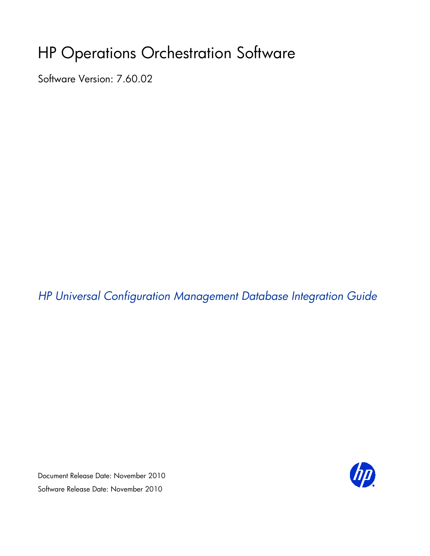# HP Operations Orchestration Software

Software Version: 7.60.02

*HP Universal Configuration Management Database Integration Guide*

Document Release Date: November 2010 Software Release Date: November 2010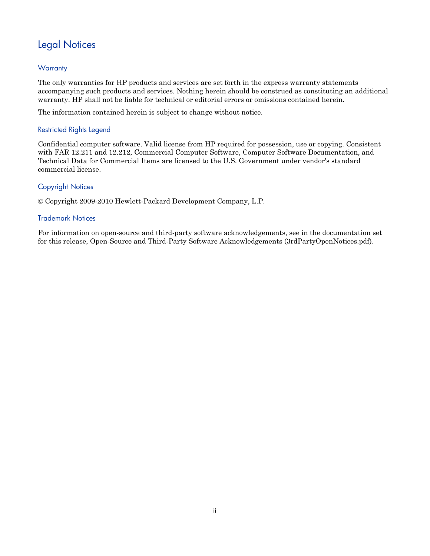## Legal Notices

### <span id="page-1-0"></span>**Warranty**

The only warranties for HP products and services are set forth in the express warranty statements accompanying such products and services. Nothing herein should be construed as constituting an additional warranty. HP shall not be liable for technical or editorial errors or omissions contained herein.

<span id="page-1-1"></span>The information contained herein is subject to change without notice.

### Restricted Rights Legend

Confidential computer software. Valid license from HP required for possession, use or copying. Consistent with FAR 12.211 and 12.212, Commercial Computer Software, Computer Software Documentation, and Technical Data for Commercial Items are licensed to the U.S. Government under vendor's standard commercial license.

### Copyright Notices

<span id="page-1-2"></span>© Copyright 2009-2010 Hewlett-Packard Development Company, L.P.

### Trademark Notices

For information on open-source and third-party software acknowledgements, see in the documentation set for this release, Open-Source and Third-Party Software Acknowledgements (3rdPartyOpenNotices.pdf).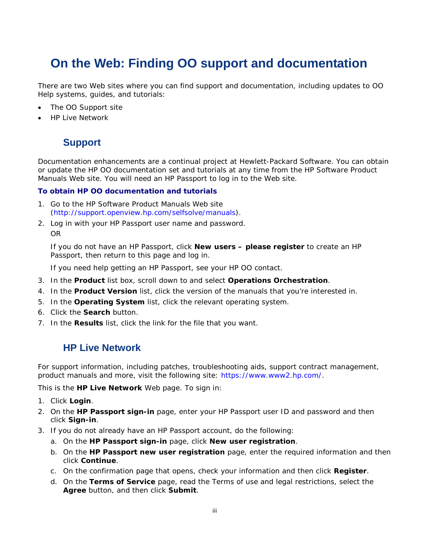## <span id="page-2-0"></span>**On the Web: Finding OO support and documentation**

There are two Web sites where you can find support and documentation, including updates to OO Help systems, guides, and tutorials:

- The OO Support site
- <span id="page-2-1"></span>• HP Live Network

### **Support**

Documentation enhancements are a continual project at Hewlett-Packard Software. You can obtain or update the HP OO documentation set and tutorials at any time from the HP Software Product Manuals Web site. You will need an HP Passport to log in to the Web site.

#### **To obtain HP OO documentation and tutorials**

- 1. Go to the HP Software Product Manuals Web site (*<http://support.openview.hp.com/selfsolve/manuals>*).
- 2. Log in with your HP Passport user name and password. OR

If you do not have an HP Passport, click **New users – please register** to create an HP Passport, then return to this page and log in.

If you need help getting an HP Passport, see your HP OO contact.

- 3. In the **Product** list box, scroll down to and select **Operations Orchestration**.
- 4. In the **Product Version** list, click the version of the manuals that you're interested in.
- 5. In the **Operating System** list, click the relevant operating system.
- 6. Click the **Search** button.
- <span id="page-2-2"></span>7. In the **Results** list, click the link for the file that you want.

### **HP Live Network**

For support information, including patches, troubleshooting aids, support contract management, product manuals and more, visit the following site: *<https://www.www2.hp.com/>*.

This is the **HP Live Network** Web page. To sign in:

- 1. Click **Login**.
- 2. On the **HP Passport sign-in** page, enter your HP Passport user ID and password and then click **Sign-in**.
- 3. If you do not already have an HP Passport account, do the following:
	- *a.* On the **HP Passport sign-in** page, click **New user registration**.
	- b. On the **HP Passport new user registration** page, enter the required information and then click **Continue**.
	- c. On the confirmation page that opens, check your information and then click **Register**.
	- d. On the **Terms of Service** page, read the Terms of use and legal restrictions, select the **Agree** button, and then click **Submit**.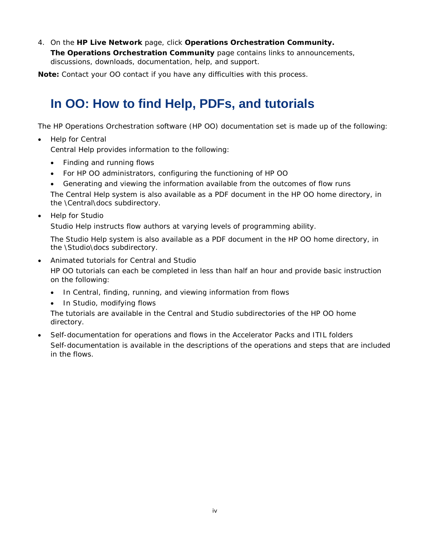4. On the **HP Live Network** page, click **Operations Orchestration Community.**

**The Operations Orchestration Community** page contains links to announcements, discussions, downloads, documentation, help, and support.

<span id="page-3-0"></span>**Note:** Contact your OO contact if you have any difficulties with this process.

## **In OO: How to find Help, PDFs, and tutorials**

The HP Operations Orchestration software (HP OO) documentation set is made up of the following:

• Help for Central

Central Help provides information to the following:

- Finding and running flows
- For HP OO administrators, configuring the functioning of HP OO
- Generating and viewing the information available from the outcomes of flow runs

The Central Help system is also available as a PDF document in the HP OO home directory, in the \Central\docs subdirectory.

• Help for Studio

Studio Help instructs flow authors at varying levels of programming ability.

The Studio Help system is also available as a PDF document in the HP OO home directory, in the \Studio\docs subdirectory.

• Animated tutorials for Central and Studio

HP OO tutorials can each be completed in less than half an hour and provide basic instruction on the following:

- In Central, finding, running, and viewing information from flows
- In Studio, modifying flows

The tutorials are available in the Central and Studio subdirectories of the HP OO home directory.

• Self-documentation for operations and flows in the Accelerator Packs and ITIL folders Self-documentation is available in the descriptions of the operations and steps that are included in the flows.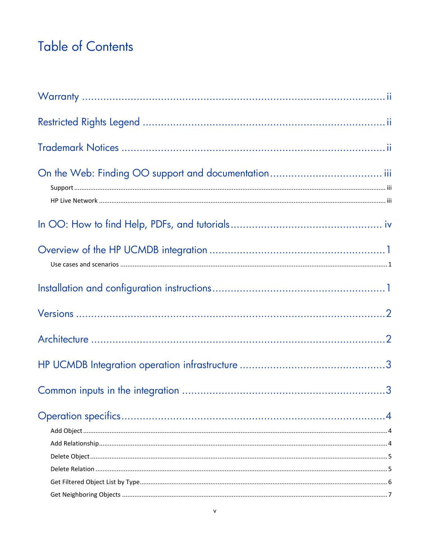# **Table of Contents**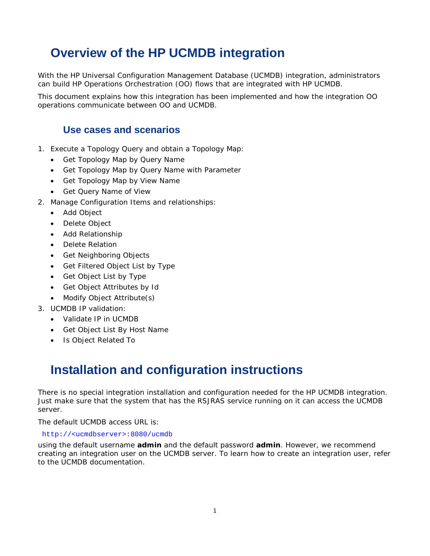## <span id="page-6-0"></span>**Overview of the HP UCMDB integration**

With the HP Universal Configuration Management Database (UCMDB) integration, administrators can build HP Operations Orchestration (OO) flows that are integrated with HP UCMDB.

<span id="page-6-1"></span>This document explains how this integration has been implemented and how the integration OO operations communicate between OO and UCMDB.

### **Use cases and scenarios**

- 1. Execute a Topology Query and obtain a Topology Map:
	- Get Topology Map by Query Name
	- Get Topology Map by Query Name with Parameter
	- Get Topology Map by View Name
	- Get Query Name of View
- 2. Manage Configuration Items and relationships:
	- Add Object
	- Delete Object
	- Add Relationship
	- Delete Relation
	- Get Neighboring Objects
	- Get Filtered Object List by Type
	- Get Object List by Type
	- Get Object Attributes by Id
	- Modify Object Attribute(s)
- 3. UCMDB IP validation:
	- Validate IP in UCMDB
	- Get Object List By Host Name
	- Is Object Related To

## <span id="page-6-2"></span>**Installation and configuration instructions**

There is no special integration installation and configuration needed for the HP UCMDB integration. Just make sure that the system that has the RSJRAS service running on it can access the UCMDB server.

The default UCMDB access URL is:

### http://<ucmdbserver>:8080/ucmdb

using the default username **admin** and the default password **admin**. However, we recommend creating an integration user on the UCMDB server. To learn how to create an integration user, refer to the UCMDB documentation.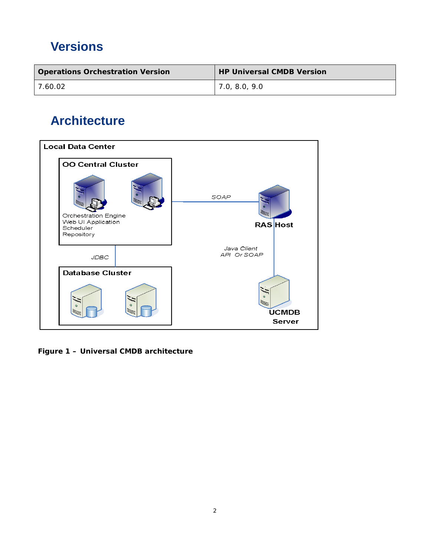# <span id="page-7-0"></span>**Versions**

| <b>Operations Orchestration Version</b> | <b>HP Universal CMDB Version</b> |
|-----------------------------------------|----------------------------------|
| 7.60.02                                 | 1,0,8.0,9.0                      |

# <span id="page-7-1"></span>**Architecture**



**Figure 1 – Universal CMDB architecture**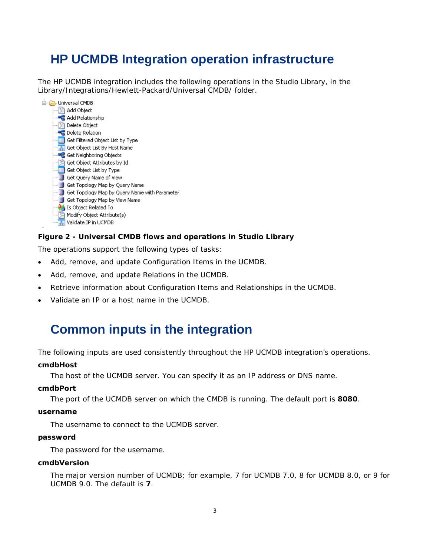## <span id="page-8-0"></span>**HP UCMDB Integration operation infrastructure**

The HP UCMDB integration includes the following operations in the Studio Library, in the Library/Integrations/Hewlett-Packard/Universal CMDB/ folder.



### **Figure 2 - Universal CMDB flows and operations in Studio Library**

The operations support the following types of tasks:

- Add, remove, and update Configuration Items in the UCMDB.
- Add, remove, and update Relations in the UCMDB.
- Retrieve information about Configuration Items and Relationships in the UCMDB.
- <span id="page-8-1"></span>• Validate an IP or a host name in the UCMDB.

## **Common inputs in the integration**

The following inputs are used consistently throughout the HP UCMDB integration's operations.

#### **cmdbHost**

The host of the UCMDB server. You can specify it as an IP address or DNS name.

#### **cmdbPort**

The port of the UCMDB server on which the CMDB is running. The default port is **8080**.

#### **username**

The username to connect to the UCMDB server.

#### **password**

The password for the username.

### **cmdbVersion**

The major version number of UCMDB; for example, 7 for UCMDB 7.0, 8 for UCMDB 8.0, or 9 for UCMDB 9.0. The default is **7**.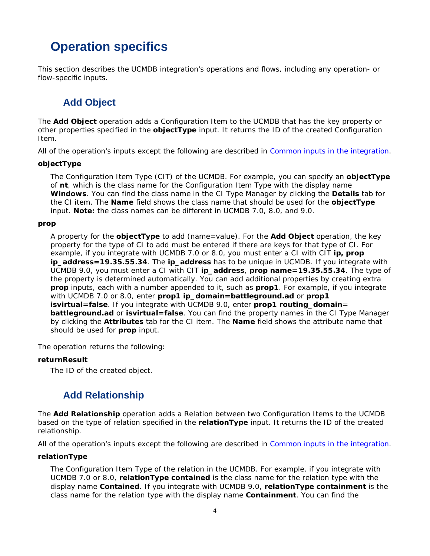## <span id="page-9-0"></span>**Operation specifics**

<span id="page-9-1"></span>This section describes the UCMDB integration's operations and flows, including any operation- or flow-specific inputs.

### **Add Object**

The **Add Object** operation adds a Configuration Item to the UCMDB that has the key property or other properties specified in the **objectType** input. It returns the ID of the created Configuration Item.

All of the operation's inputs except the following are described in *Common inputs in the integration*.

### **objectType**

The Configuration Item Type (CIT) of the UCMDB. For example, you can specify an **objectType** of **nt**, which is the class name for the Configuration Item Type with the display name **Windows**. You can find the class name in the CI Type Manager by clicking the **Details** tab for the CI item. The **Name** field shows the class name that should be used for the **objectType** input. **Note:** the class names can be different in UCMDB 7.0, 8.0, and 9.0.

### **prop**

A property for the **objectType** to add (*name=value*). For the **Add Object** operation, the key property for the type of CI to add must be entered if there are keys for that type of CI. For example, if you integrate with UCMDB 7.0 or 8.0, you must enter a CI with CIT **ip, prop ip\_address=19.35.55.34**. The **ip\_address** has to be unique in UCMDB. If you integrate with UCMDB 9.0, you must enter a CI with CIT **ip\_address**, **prop name=19.35.55.34**. The type of the property is determined automatically. You can add additional properties by creating extra **prop** inputs, each with a number appended to it, such as **prop1**. For example, if you integrate with UCMDB 7.0 or 8.0, enter **prop1 ip\_domain=battleground.ad** or **prop1 isvirtual=false**. If you integrate with UCMDB 9.0, enter **prop1 routing\_domain**= **battleground.ad** or **isvirtual=false**. You can find the property names in the CI Type Manager by clicking the **Attributes** tab for the CI item. The **Name** field shows the attribute name that should be used for **prop** input.

The operation returns the following:

### **returnResult**

<span id="page-9-2"></span>The ID of the created object.

### **Add Relationship**

The **Add Relationship** operation adds a Relation between two Configuration Items to the UCMDB based on the type of relation specified in the **relationType** input. It returns the ID of the created relationship.

All of the operation's inputs except the following are described in *Common inputs in the integration*.

### **relationType**

The Configuration Item Type of the relation in the UCMDB. For example, if you integrate with UCMDB 7.0 or 8.0, **relationType contained** is the class name for the relation type with the display name **Contained**. If you integrate with UCMDB 9.0, **relationType containment** is the class name for the relation type with the display name **Containment**. You can find the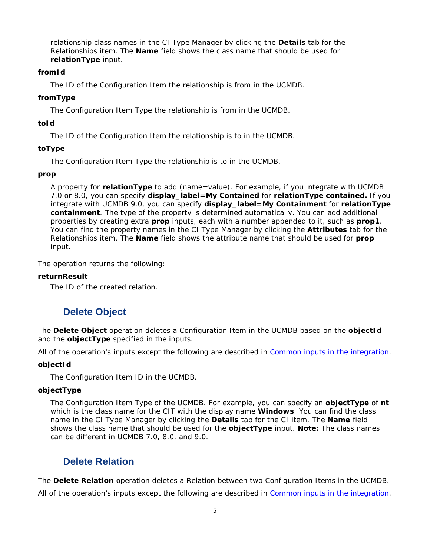relationship class names in the CI Type Manager by clicking the **Details** tab for the Relationships item. The **Name** field shows the class name that should be used for **relationType** input.

### **fromId**

The ID of the Configuration Item the relationship is from in the UCMDB.

### **fromType**

The Configuration Item Type the relationship is from in the UCMDB.

### **toId**

The ID of the Configuration Item the relationship is to in the UCMDB.

### **toType**

The Configuration Item Type the relationship is to in the UCMDB.

### **prop**

A property for **relationType** to add (*name=value*). For example, if you integrate with UCMDB 7.0 or 8.0, you can specify **display\_label=My Contained** for **relationType contained.** If you integrate with UCMDB 9.0, you can specify **display\_label=My Containment** for **relationType containment**. The type of the property is determined automatically. You can add additional properties by creating extra **prop** inputs, each with a number appended to it, such as **prop1**. You can find the property names in the CI Type Manager by clicking the **Attributes** tab for the Relationships item. The **Name** field shows the attribute name that should be used for **prop** input.

The operation returns the following:

### **returnResult**

<span id="page-10-0"></span>The ID of the created relation.

### **Delete Object**

The **Delete Object** operation deletes a Configuration Item in the UCMDB based on the **objectId**  and the **objectType** specified in the inputs.

All of the operation's inputs except the following are described in *Common inputs in the integration*.

### **objectId**

The Configuration Item ID in the UCMDB.

### **objectType**

The Configuration Item Type of the UCMDB. For example, you can specify an **objectType** of **nt**  which is the class name for the CIT with the display name **Windows**. You can find the class name in the CI Type Manager by clicking the **Details** tab for the CI item. The **Name** field shows the class name that should be used for the **objectType** input. **Note:** The class names can be different in UCMDB 7.0, 8.0, and 9.0.

### <span id="page-10-1"></span>**Delete Relation**

The **Delete Relation** operation deletes a Relation between two Configuration Items in the UCMDB.

All of the operation's inputs except the following are described in *Common inputs in the integration*.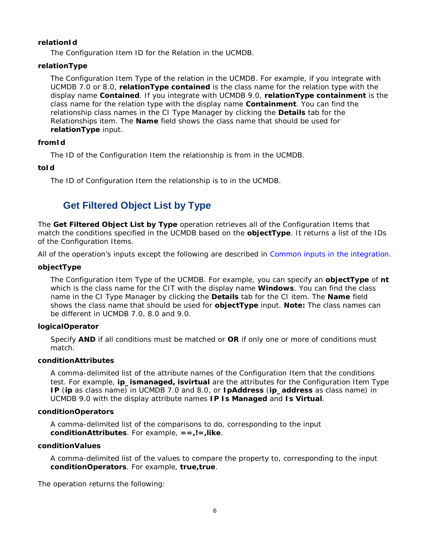### **relationId**

The Configuration Item ID for the Relation in the UCMDB.

### **relationType**

The Configuration Item Type of the relation in the UCMDB. For example, if you integrate with UCMDB 7.0 or 8.0, **relationType contained** is the class name for the relation type with the display name **Contained**. If you integrate with UCMDB 9.0, **relationType containment** is the class name for the relation type with the display name **Containment**. You can find the relationship class names in the CI Type Manager by clicking the **Details** tab for the Relationships item. The **Name** field shows the class name that should be used for **relationType** input.

### **fromId**

The ID of the Configuration Item the relationship is from in the UCMDB.

### **toId**

<span id="page-11-0"></span>The ID of Configuration Item the relationship is to in the UCMDB.

### **Get Filtered Object List by Type**

The **Get Filtered Object List by Type** operation retrieves all of the Configuration Items that match the conditions specified in the UCMDB based on the **objectType**. It returns a list of the IDs of the Configuration Items.

All of the operation's inputs except the following are described in *Common inputs in the integration*.

### **objectType**

The Configuration Item Type of the UCMDB. For example, you can specify an **objectType** of **nt**  which is the class name for the CIT with the display name **Windows**. You can find the class name in the CI Type Manager by clicking the **Details** tab for the CI item. The **Name** field shows the class name that should be used for **objectType** input. **Note:** The class names can be different in UCMDB 7.0, 8.0 and 9.0.

### **logicalOperator**

Specify **AND** if all conditions must be matched or **OR** if only one or more of conditions must match.

### **conditionAttributes**

A comma-delimited list of the attribute names of the Configuration Item that the conditions test. For example, **ip\_ismanaged, isvirtual** are the attributes for the Configuration Item Type **IP** (**ip** as class name) in UCMDB 7.0 and 8.0, or **IpAddress** (**ip\_address** as class name) in UCMDB 9.0 with the display attribute names **IP Is Managed** and **Is Virtual**.

### **conditionOperators**

A comma-delimited list of the comparisons to do, corresponding to the input **conditionAttributes**. For example, **==,!=,like**.

### **conditionValues**

A comma-delimited list of the values to compare the property to, corresponding to the input **conditionOperators**. For example, **true,true**.

The operation returns the following: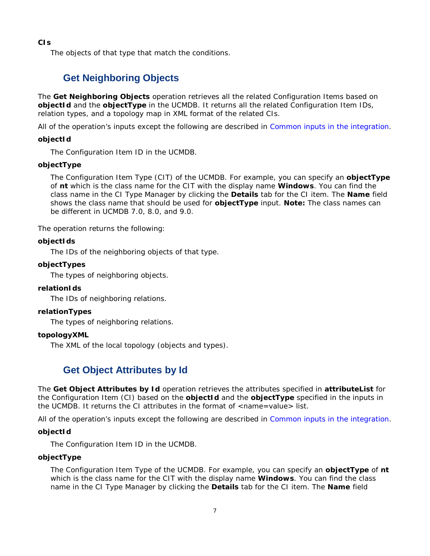**CIs**

<span id="page-12-0"></span>The objects of that type that match the conditions.

### **Get Neighboring Objects**

The **Get Neighboring Objects** operation retrieves all the related Configuration Items based on **objectId** and the **objectType** in the UCMDB. It returns all the related Configuration Item IDs, relation types, and a topology map in XML format of the related CIs.

All of the operation's inputs except the following are described in *Common inputs in the integration*.

### **objectId**

The Configuration Item ID in the UCMDB.

### **objectType**

The Configuration Item Type (CIT) of the UCMDB. For example, you can specify an **objectType** of **nt** which is the class name for the CIT with the display name **Windows**. You can find the class name in the CI Type Manager by clicking the **Details** tab for the CI item. The **Name** field shows the class name that should be used for **objectType** input. **Note:** The class names can be different in UCMDB 7.0, 8.0, and 9.0.

The operation returns the following:

### **objectIds**

The IDs of the neighboring objects of that type.

### **objectTypes**

The types of neighboring objects.

### **relationIds**

The IDs of neighboring relations.

### **relationTypes**

The types of neighboring relations.

### **topologyXML**

<span id="page-12-1"></span>The XML of the local topology (objects and types).

### **Get Object Attributes by Id**

The **Get Object Attributes by Id** operation retrieves the attributes specified in **attributeList** for the Configuration Item (CI) based on the **objectId** and the **objectType** specified in the inputs in the UCMDB. It returns the CI attributes in the format of <*name=value*> list.

All of the operation's inputs except the following are described in *Common inputs in the integration*.

### **objectId**

The Configuration Item ID in the UCMDB.

### **objectType**

The Configuration Item Type of the UCMDB. For example, you can specify an **objectType** of **nt**  which is the class name for the CIT with the display name **Windows**. You can find the class name in the CI Type Manager by clicking the **Details** tab for the CI item. The **Name** field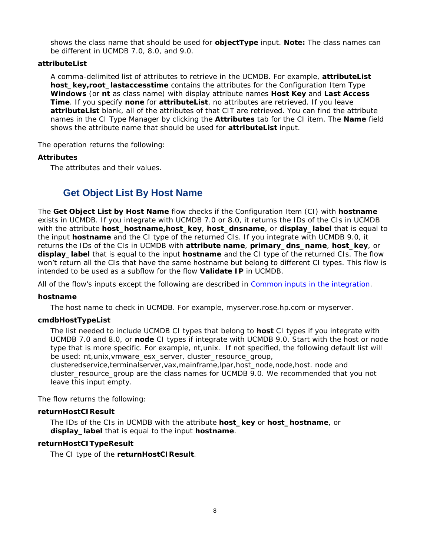shows the class name that should be used for **objectType** input. **Note:** The class names can be different in UCMDB 7.0, 8.0, and 9.0.

### **attributeList**

A comma-delimited list of attributes to retrieve in the UCMDB. For example, **attributeList host\_key,root\_lastaccesstime** contains the attributes for the Configuration Item Type **Windows** (or **nt** as class name) with display attribute names **Host Key** and **Last Access Time**. If you specify **none** for **attributeList**, no attributes are retrieved. If you leave **attributeList** blank, all of the attributes of that CIT are retrieved. You can find the attribute names in the CI Type Manager by clicking the **Attributes** tab for the CI item. The **Name** field shows the attribute name that should be used for **attributeList** input.

The operation returns the following:

### **Attributes**

<span id="page-13-0"></span>The attributes and their values.

### **Get Object List By Host Name**

The **Get Object List by Host Name** flow checks if the Configuration Item (CI) with **hostname** exists in UCMDB. If you integrate with UCMDB 7.0 or 8.0, it returns the IDs of the CIs in UCMDB with the attribute **host\_hostname,host\_key**, **host\_dnsname**, or **display\_label** that is equal to the input **hostname** and the CI type of the returned CIs. If you integrate with UCMDB 9.0, it returns the IDs of the CIs in UCMDB with **attribute name**, **primary\_dns\_name**, **host\_key**, or **display\_label** that is equal to the input **hostname** and the CI type of the returned CIs. The flow won't return all the CIs that have the same hostname but belong to different CI types. This flow is intended to be used as a subflow for the flow **Validate IP** in UCMDB.

All of the flow's inputs except the following are described in *Common inputs in the integration*.

### **hostname**

The host name to check in UCMDB. For example, myserver.rose.hp.com or myserver.

### **cmdbHostTypeList**

The list needed to include UCMDB CI types that belong to **host** CI types if you integrate with UCMDB 7.0 and 8.0, or **node** CI types if integrate with UCMDB 9.0. Start with the host or node type that is more specific. For example, nt,unix. If not specified, the following default list will be used: nt,unix,vmware\_esx\_server, cluster\_resource\_group,

clusteredservice,terminalserver,vax,mainframe,lpar,host\_node,node,host. node and cluster\_resource\_group are the class names for UCMDB 9.0. We recommended that you not leave this input empty.

The flow returns the following:

### **returnHostCIResult**

The IDs of the CIs in UCMDB with the attribute **host\_key** or **host\_hostname**, or **display\_label** that is equal to the input **hostname**.

### **returnHostCITypeResult**

The CI type of the **returnHostCIResult**.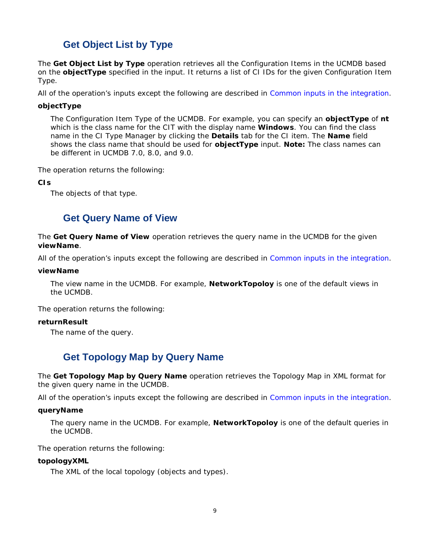### **Get Object List by Type**

<span id="page-14-0"></span>The **Get Object List by Type** operation retrieves all the Configuration Items in the UCMDB based on the **objectType** specified in the input. It returns a list of CI IDs for the given Configuration Item Type.

All of the operation's inputs except the following are described in *Common inputs in the integration*.

### **objectType**

The Configuration Item Type of the UCMDB. For example, you can specify an **objectType** of **nt**  which is the class name for the CIT with the display name **Windows**. You can find the class name in the CI Type Manager by clicking the **Details** tab for the CI item. The **Name** field shows the class name that should be used for **objectType** input. **Note:** The class names can be different in UCMDB 7.0, 8.0, and 9.0.

The operation returns the following:

**CIs**

<span id="page-14-1"></span>The objects of that type.

### **Get Query Name of View**

The **Get Query Name of View** operation retrieves the query name in the UCMDB for the given **viewName**.

All of the operation's inputs except the following are described in *Common inputs in the integration*.

### **viewName**

The view name in the UCMDB. For example, **NetworkTopoloy** is one of the default views in the UCMDB.

The operation returns the following:

### **returnResult**

<span id="page-14-2"></span>The name of the query.

### **Get Topology Map by Query Name**

The **Get Topology Map by Query Name** operation retrieves the Topology Map in XML format for the given query name in the UCMDB.

All of the operation's inputs except the following are described in *Common inputs in the integration*.

### **queryName**

The query name in the UCMDB. For example, **NetworkTopoloy** is one of the default queries in the UCMDB.

The operation returns the following:

### **topologyXML**

The XML of the local topology (objects and types).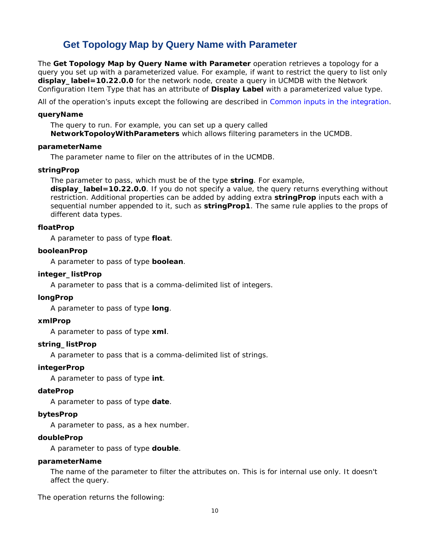### **Get Topology Map by Query Name with Parameter**

<span id="page-15-0"></span>The **Get Topology Map by Query Name with Parameter** operation retrieves a topology for a query you set up with a parameterized value. For example, if want to restrict the query to list only **display\_label=10.22.0.0** for the network node, create a query in UCMDB with the Network Configuration Item Type that has an attribute of **Display Label** with a parameterized value type.

All of the operation's inputs except the following are described in *Common inputs in the integration*.

#### **queryName**

The query to run. For example, you can set up a query called **NetworkTopoloyWithParameters** which allows filtering parameters in the UCMDB.

### **parameterName**

The parameter name to filer on the attributes of in the UCMDB.

#### **stringProp**

The parameter to pass, which must be of the type **string**. For example,

**display\_label=10.22.0.0**. If you do not specify a value, the query returns everything without restriction. Additional properties can be added by adding extra **stringProp** inputs each with a sequential number appended to it, such as **stringProp1**. The same rule applies to the props of different data types.

### **floatProp**

A parameter to pass of type **float**.

### **booleanProp**

A parameter to pass of type **boolean**.

### **integer\_listProp**

A parameter to pass that is a comma-delimited list of integers.

### **longProp**

A parameter to pass of type **long**.

### **xmlProp**

A parameter to pass of type **xml**.

#### **string\_listProp**

A parameter to pass that is a comma-delimited list of strings.

### **integerProp**

A parameter to pass of type **int**.

#### **dateProp**

A parameter to pass of type **date**.

#### **bytesProp**

A parameter to pass, as a hex number.

### **doubleProp**

A parameter to pass of type **double**.

#### **parameterName**

The name of the parameter to filter the attributes on. This is for internal use only. It doesn't affect the query.

The operation returns the following: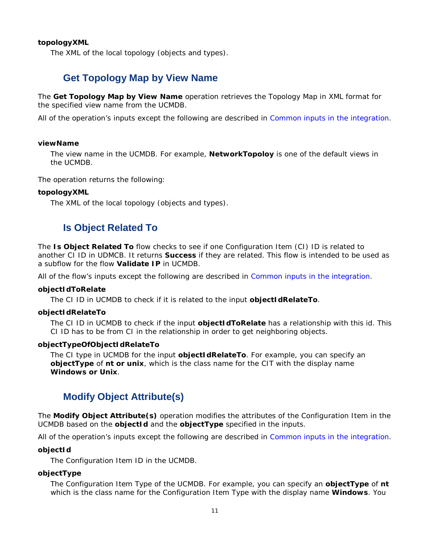### **topologyXML**

<span id="page-16-0"></span>The XML of the local topology (objects and types).

### **Get Topology Map by View Name**

The **Get Topology Map by View Name** operation retrieves the Topology Map in XML format for the specified view name from the UCMDB.

All of the operation's inputs except the following are described in *Common inputs in the integration*.

#### **viewName**

The view name in the UCMDB. For example, **NetworkTopoloy** is one of the default views in the UCMDB.

The operation returns the following:

#### **topologyXML**

<span id="page-16-1"></span>The XML of the local topology (objects and types).

### **Is Object Related To**

The **Is Object Related To** flow checks to see if one Configuration Item (CI) ID is related to another CI ID in UDMCB. It returns **Success** if they are related. This flow is intended to be used as a subflow for the flow **Validate IP** in UCMDB.

All of the flow's inputs except the following are described in *Common inputs in the integration*.

### **objectIdToRelate**

The CI ID in UCMDB to check if it is related to the input **objectIdRelateTo**.

#### **objectIdRelateTo**

The CI ID in UCMDB to check if the input **objectIdToRelate** has a relationship with this id. This CI ID has to be from CI in the relationship in order to get neighboring objects.

#### **objectTypeOfObjectIdRelateTo**

The CI type in UCMDB for the input **objectIdRelateTo**. For example, you can specify an **objectType** of **nt or unix**, which is the class name for the CIT with the display name **Windows or Unix**.

### <span id="page-16-2"></span>**Modify Object Attribute(s)**

The **Modify Object Attribute(s)** operation modifies the attributes of the Configuration Item in the UCMDB based on the **objectId** and the **objectType** specified in the inputs.

All of the operation's inputs except the following are described in *Common inputs in the integration*.

#### **objectId**

The Configuration Item ID in the UCMDB.

### **objectType**

The Configuration Item Type of the UCMDB. For example, you can specify an **objectType** of **nt**  which is the class name for the Configuration Item Type with the display name **Windows**. You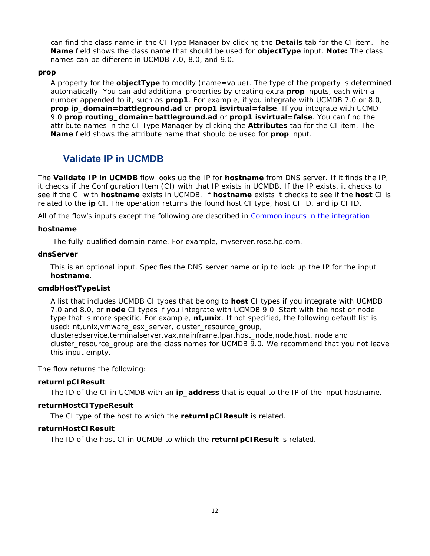can find the class name in the CI Type Manager by clicking the **Details** tab for the CI item. The **Name** field shows the class name that should be used for **objectType** input. **Note:** The class names can be different in UCMDB 7.0, 8.0, and 9.0.

### **prop**

A property for the **objectType** to modify (*name=value*). The type of the property is determined automatically. You can add additional properties by creating extra **prop** inputs, each with a number appended to it, such as **prop1**. For example, if you integrate with UCMDB 7.0 or 8.0, **prop ip\_domain=battleground.ad** or **prop1 isvirtual=false**. If you integrate with UCMD 9.0 **prop routing\_domain=battleground.ad** or **prop1 isvirtual=false**. You can find the attribute names in the CI Type Manager by clicking the **Attributes** tab for the CI item. The **Name** field shows the attribute name that should be used for **prop** input.

### <span id="page-17-0"></span>**Validate IP in UCMDB**

The **Validate IP in UCMDB** flow looks up the IP for **hostname** from DNS server. If it finds the IP, it checks if the Configuration Item (CI) with that IP exists in UCMDB. If the IP exists, it checks to see if the CI with **hostname** exists in UCMDB. If **hostname** exists it checks to see if the **host** CI is related to the **ip** CI. The operation returns the found host CI type, host CI ID, and ip CI ID.

All of the flow's inputs except the following are described in *Common inputs in the integration*.

### **hostname**

The fully-qualified domain name. For example, myserver.rose.hp.com.

### **dnsServer**

This is an optional input. Specifies the DNS server name or ip to look up the IP for the input **hostname**.

### **cmdbHostTypeList**

A list that includes UCMDB CI types that belong to **host** CI types if you integrate with UCMDB 7.0 and 8.0, or **node** CI types if you integrate with UCMDB 9.0. Start with the host or node type that is more specific. For example, **nt,unix**. If not specified, the following default list is used: nt,unix,vmware\_esx\_server, cluster\_resource\_group,

clusteredservice,terminalserver,vax,mainframe,lpar,host\_node,node,host. node and cluster\_resource\_group are the class names for UCMDB 9.0. We recommend that you not leave this input empty.

The flow returns the following:

### **returnIpCIResult**

The ID of the CI in UCMDB with an **ip\_address** that is equal to the IP of the input hostname.

### **returnHostCITypeResult**

The CI type of the host to which the **returnIpCIResult** is related.

### **returnHostCIResult**

The ID of the host CI in UCMDB to which the **returnIpCIResult** is related.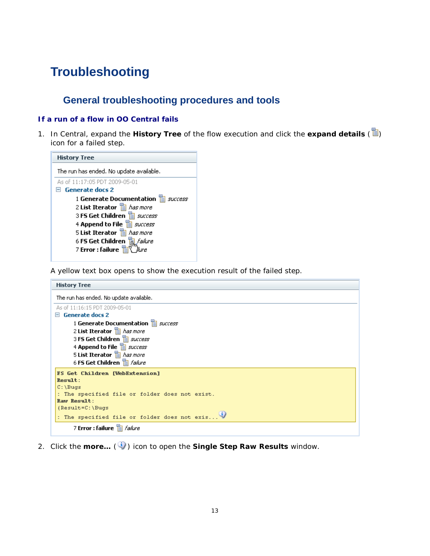## <span id="page-18-0"></span>**Troubleshooting**

## **General troubleshooting procedures and tools**

### <span id="page-18-1"></span>**If a run of a flow in OO Central fails**

1. In Central, expand the **History Tree** of the flow execution and click the **expand details** ( ) icon for a failed step.

| <b>History Tree</b>                                                                  |
|--------------------------------------------------------------------------------------|
| The run has ended. No update available.                                              |
| As of 11:17:05 PDT 2009-05-01                                                        |
| $\boxminus$ Generate docs 2                                                          |
| 1 Generate Documentation 冒 <i>success</i>                                            |
| 2 List Iterator <b>E</b> has more                                                    |
| 3 FS Get Children <b>E</b> <i>success</i>                                            |
| 4 Append to File <b>E</b> <i>success</i>                                             |
| 5 List Iterator <b>自</b> has more                                                    |
|                                                                                      |
| 6 FS Get Children <mark>聞<i>failure</i><br/>7 Error : failure 冒</mark> \ <i>Nure</i> |

A yellow text box opens to show the execution result of the failed step.

| <b>History Tree</b>                            |
|------------------------------------------------|
| The run has ended. No update available.        |
| As of 11:16:15 PDT 2009-05-01                  |
| <b>Generate docs 2</b><br>н                    |
| 1 Generate Documentation <b>E</b> success      |
| 2 List Iterator <b>自</b> has more              |
| 3 FS Get Children a success                    |
| 4 Append to File <b>E</b> success              |
| 5 List Iterator <b>E</b> has more              |
| 6 FS Get Children 自 <i>failure</i>             |
| <b>FS Get Children [WebExtension]</b>          |
| Result:                                        |
| $C:$ \Bugs                                     |
| : The specified file or folder does not exist. |
| Raw Result:                                    |
| ${Result=C: \Big\}$                            |
| : The specified file or folder does not exis   |
| 7 Error : failure a <i>failure</i>             |

2. Click the **more...** (**1**) icon to open the **Single Step Raw Results** window.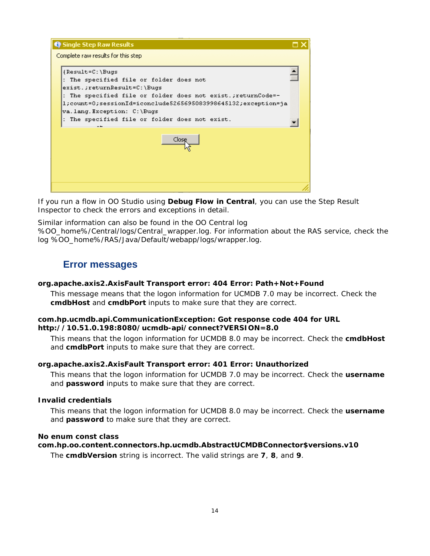| <b>Q</b> Single Step Raw Results                                                                                                                                                                                                                                                                        |  |
|---------------------------------------------------------------------------------------------------------------------------------------------------------------------------------------------------------------------------------------------------------------------------------------------------------|--|
| Complete raw results for this step                                                                                                                                                                                                                                                                      |  |
| {Result=C:\Bugs<br>: The specified file or folder does not<br>exist.;returnResult=C:\Bugs<br>: The specified file or folder does not exist.;returnCode=-<br>l;count=0;sessionId=iconclude5265695083998645132;exception=ja<br>va.lang.Exception: C:\Bugs<br>The specified file or folder does not exist. |  |
| Close                                                                                                                                                                                                                                                                                                   |  |
|                                                                                                                                                                                                                                                                                                         |  |

If you run a flow in OO Studio using **Debug Flow in Central**, you can use the Step Result Inspector to check the errors and exceptions in detail.

<span id="page-19-0"></span>Similar information can also be found in the OO Central log %OO\_home%/Central/logs/Central\_wrapper.log. For information about the RAS service, check the log %OO\_home%/RAS/Java/Default/webapp/logs/wrapper.log.

### **Error messages**

### **org.apache.axis2.AxisFault Transport error: 404 Error: Path+Not+Found**

This message means that the logon information for UCMDB 7.0 may be incorrect. Check the **cmdbHost** and **cmdbPort** inputs to make sure that they are correct.

### **com.hp.ucmdb.api.CommunicationException: Got response code 404 for URL http://10.51.0.198:8080/ucmdb-api/connect?VERSION=8.0**

This means that the logon information for UCMDB 8.0 may be incorrect. Check the **cmdbHost** and **cmdbPort** inputs to make sure that they are correct.

### **org.apache.axis2.AxisFault Transport error: 401 Error: Unauthorized**

This means that the logon information for UCMDB 7.0 may be incorrect. Check the **username** and **password** inputs to make sure that they are correct.

### **Invalid credentials**

This means that the logon information for UCMDB 8.0 may be incorrect. Check the **username** and **password** to make sure that they are correct.

### **No enum const class**

**com.hp.oo.content.connectors.hp.ucmdb.AbstractUCMDBConnector\$versions.v10**

The **cmdbVersion** string is incorrect. The valid strings are **7**, **8**, and **9**.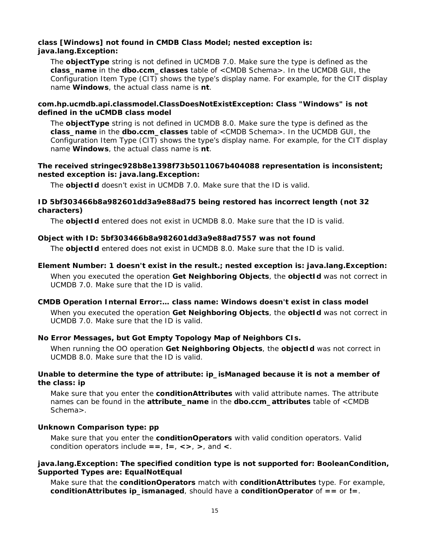### **class [Windows] not found in CMDB Class Model; nested exception is: java.lang.Exception:**

The **objectType** string is not defined in UCMDB 7.0. Make sure the type is defined as the **class\_name** in the **dbo.ccm\_classes** table of <CMDB Schema>. In the UCMDB GUI, the Configuration Item Type (CIT) shows the type's display name. For example, for the CIT display name **Windows**, the actual class name is **nt**.

### **com.hp.ucmdb.api.classmodel.ClassDoesNotExistException: Class "Windows" is not defined in the uCMDB class model**

The **objectType** string is not defined in UCMDB 8.0. Make sure the type is defined as the **class\_name** in the **dbo.ccm\_classes** table of <CMDB Schema>. In the UCMDB GUI, the Configuration Item Type (CIT) shows the type's display name. For example, for the CIT display name **Windows**, the actual class name is **nt**.

### **The received stringec928b8e1398f73b5011067b404088 representation is inconsistent; nested exception is: java.lang.Exception:**

The **objectId** doesn't exist in UCMDB 7.0. Make sure that the ID is valid.

### **ID 5bf303466b8a982601dd3a9e88ad75 being restored has incorrect length (not 32 characters)**

The **objectId** entered does not exist in UCMDB 8.0. Make sure that the ID is valid.

### **Object with ID: 5bf303466b8a982601dd3a9e88ad7557 was not found**

The **objectId** entered does not exist in UCMDB 8.0. Make sure that the ID is valid.

### **Element Number: 1 doesn't exist in the result.; nested exception is: java.lang.Exception:** When you executed the operation **Get Neighboring Objects**, the **objectId** was not correct in UCMDB 7.0. Make sure that the ID is valid.

### **CMDB Operation Internal Error:… class name: Windows doesn't exist in class model**

When you executed the operation **Get Neighboring Objects**, the **objectId** was not correct in UCMDB 7.0. Make sure that the ID is valid.

### **No Error Messages, but Got Empty Topology Map of Neighbors CIs.**

When running the OO operation **Get Neighboring Objects**, the **objectId** was not correct in UCMDB 8.0. Make sure that the ID is valid.

### **Unable to determine the type of attribute: ip\_isManaged because it is not a member of the class: ip**

Make sure that you enter the **conditionAttributes** with valid attribute names. The attribute names can be found in the **attribute\_name** in the **dbo.ccm\_attributes** table of <CMDB Schema>.

### **Unknown Comparison type: pp**

Make sure that you enter the **conditionOperators** with valid condition operators. Valid condition operators include **==**, **!=**, **<>**, **>**, and **<**.

### **java.lang.Exception: The specified condition type is not supported for: BooleanCondition, Supported Types are: EqualNotEqual**

Make sure that the **conditionOperators** match with **conditionAttributes** type. For example, **conditionAttributes ip\_ismanaged**, should have a **conditionOperator** of **==** or **!=**.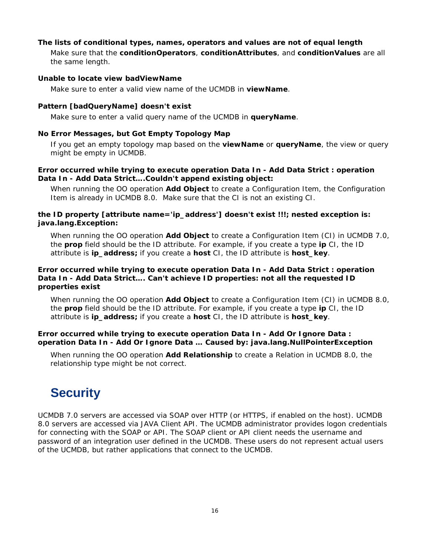### **The lists of conditional types, names, operators and values are not of equal length**

Make sure that the **conditionOperators**, **conditionAttributes**, and **conditionValues** are all the same length.

#### **Unable to locate view badViewName**

Make sure to enter a valid view name of the UCMDB in **viewName**.

### **Pattern [badQueryName] doesn't exist**

Make sure to enter a valid query name of the UCMDB in **queryName**.

### **No Error Messages, but Got Empty Topology Map**

If you get an empty topology map based on the **viewName** or **queryName**, the view or query might be empty in UCMDB.

### **Error occurred while trying to execute operation Data In - Add Data Strict : operation Data In - Add Data Strict….Couldn't append existing object:**

When running the OO operation **Add Object** to create a Configuration Item, the Configuration Item is already in UCMDB 8.0. Make sure that the CI is not an existing CI.

### **the ID property [attribute name='ip\_address'] doesn't exist !!!; nested exception is: java.lang.Exception:**

When running the OO operation **Add Object** to create a Configuration Item (CI) in UCMDB 7.0, the **prop** field should be the ID attribute. For example, if you create a type **ip** CI, the ID attribute is **ip\_address;** if you create a **host** CI, the ID attribute is **host\_key**.

### **Error occurred while trying to execute operation Data In - Add Data Strict : operation Data In - Add Data Strict…. Can't achieve ID properties: not all the requested ID properties exist**

When running the OO operation **Add Object** to create a Configuration Item (CI) in UCMDB 8.0, the **prop** field should be the ID attribute. For example, if you create a type **ip** CI, the ID attribute is **ip\_address;** if you create a **host** CI, the ID attribute is **host\_key**.

### **Error occurred while trying to execute operation Data In - Add Or Ignore Data : operation Data In - Add Or Ignore Data … Caused by: java.lang.NullPointerException**

When running the OO operation **Add Relationship** to create a Relation in UCMDB 8.0, the relationship type might be not correct.

## <span id="page-21-0"></span>**Security**

UCMDB 7.0 servers are accessed via SOAP over HTTP (or HTTPS, if enabled on the host). UCMDB 8.0 servers are accessed via JAVA Client API. The UCMDB administrator provides logon credentials for connecting with the SOAP or API. The SOAP client or API client needs the username and password of an integration user defined in the UCMDB. These users do not represent actual users of the UCMDB, but rather applications that connect to the UCMDB.